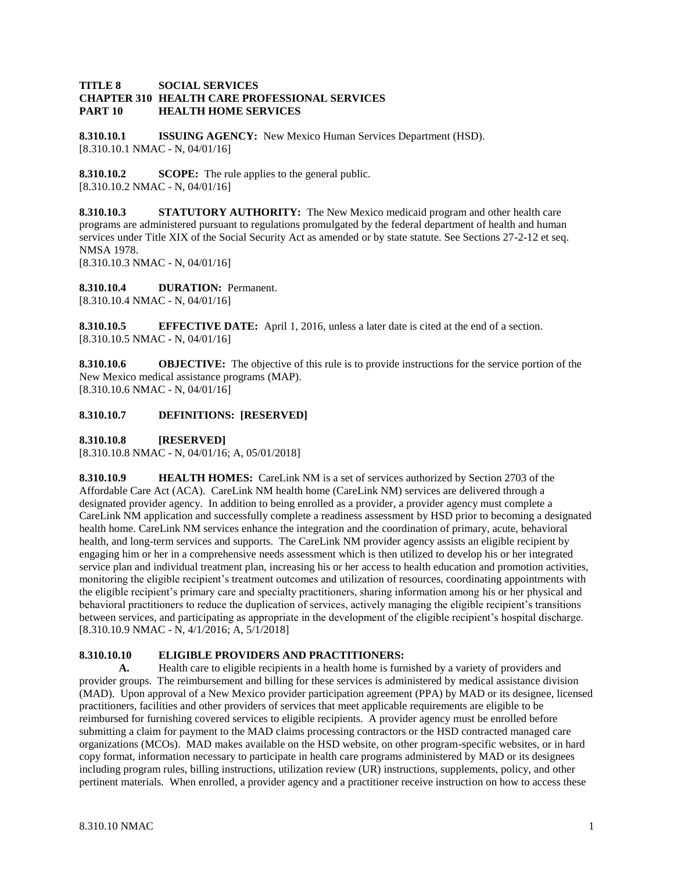## **TITLE 8 SOCIAL SERVICES CHAPTER 310 HEALTH CARE PROFESSIONAL SERVICES PART 10 HEALTH HOME SERVICES**

**8.310.10.1 ISSUING AGENCY:** New Mexico Human Services Department (HSD). [8.310.10.1 NMAC - N, 04/01/16]

**8.310.10.2 SCOPE:** The rule applies to the general public. [8.310.10.2 NMAC - N, 04/01/16]

**8.310.10.3 STATUTORY AUTHORITY:** The New Mexico medicaid program and other health care programs are administered pursuant to regulations promulgated by the federal department of health and human services under Title XIX of the Social Security Act as amended or by state statute. See Sections 27-2-12 et seq. NMSA 1978.

[8.310.10.3 NMAC - N, 04/01/16]

**8.310.10.4 DURATION:** Permanent. [8.310.10.4 NMAC - N, 04/01/16]

**8.310.10.5 EFFECTIVE DATE:** April 1, 2016, unless a later date is cited at the end of a section. [8.310.10.5 NMAC - N, 04/01/16]

**8.310.10.6 OBJECTIVE:** The objective of this rule is to provide instructions for the service portion of the New Mexico medical assistance programs (MAP). [8.310.10.6 NMAC - N, 04/01/16]

## **8.310.10.7 DEFINITIONS: [RESERVED]**

**8.310.10.8 [RESERVED]**

[8.310.10.8 NMAC - N, 04/01/16; A, 05/01/2018]

**8.310.10.9 HEALTH HOMES:** CareLink NM is a set of services authorized by Section 2703 of the Affordable Care Act (ACA). CareLink NM health home (CareLink NM) services are delivered through a designated provider agency. In addition to being enrolled as a provider, a provider agency must complete a CareLink NM application and successfully complete a readiness assessment by HSD prior to becoming a designated health home. CareLink NM services enhance the integration and the coordination of primary, acute, behavioral health, and long-term services and supports. The CareLink NM provider agency assists an eligible recipient by engaging him or her in a comprehensive needs assessment which is then utilized to develop his or her integrated service plan and individual treatment plan, increasing his or her access to health education and promotion activities, monitoring the eligible recipient's treatment outcomes and utilization of resources, coordinating appointments with the eligible recipient's primary care and specialty practitioners, sharing information among his or her physical and behavioral practitioners to reduce the duplication of services, actively managing the eligible recipient's transitions between services, and participating as appropriate in the development of the eligible recipient's hospital discharge. [8.310.10.9 NMAC - N, 4/1/2016; A, 5/1/2018]

# **8.310.10.10 ELIGIBLE PROVIDERS AND PRACTITIONERS:**

**A.** Health care to eligible recipients in a health home is furnished by a variety of providers and provider groups. The reimbursement and billing for these services is administered by medical assistance division (MAD). Upon approval of a New Mexico provider participation agreement (PPA) by MAD or its designee, licensed practitioners, facilities and other providers of services that meet applicable requirements are eligible to be reimbursed for furnishing covered services to eligible recipients. A provider agency must be enrolled before submitting a claim for payment to the MAD claims processing contractors or the HSD contracted managed care organizations (MCOs). MAD makes available on the HSD website, on other program-specific websites, or in hard copy format, information necessary to participate in health care programs administered by MAD or its designees including program rules, billing instructions, utilization review (UR) instructions, supplements, policy, and other pertinent materials. When enrolled, a provider agency and a practitioner receive instruction on how to access these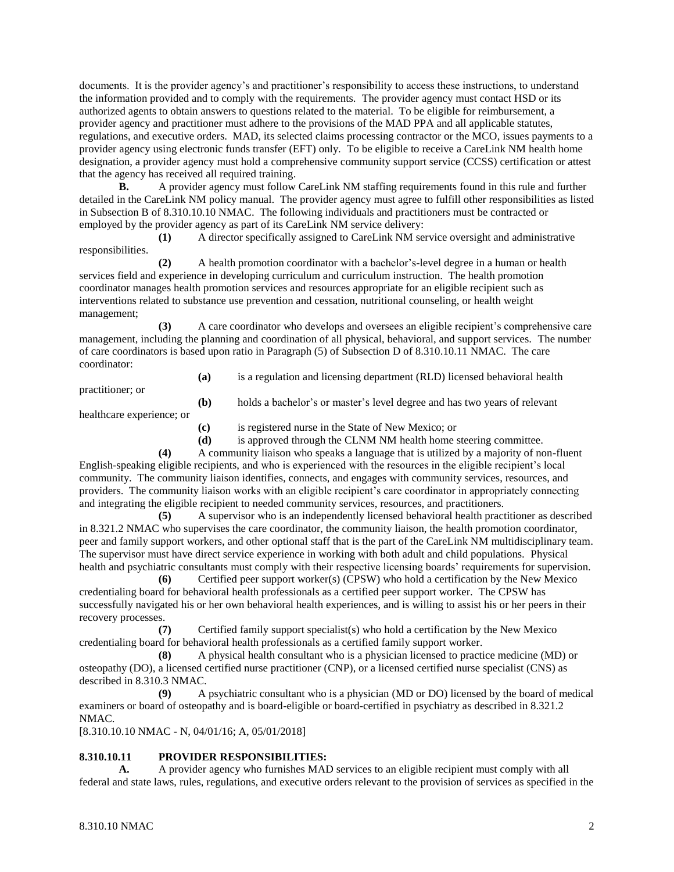documents. It is the provider agency's and practitioner's responsibility to access these instructions, to understand the information provided and to comply with the requirements. The provider agency must contact HSD or its authorized agents to obtain answers to questions related to the material. To be eligible for reimbursement, a provider agency and practitioner must adhere to the provisions of the MAD PPA and all applicable statutes, regulations, and executive orders. MAD, its selected claims processing contractor or the MCO, issues payments to a provider agency using electronic funds transfer (EFT) only. To be eligible to receive a CareLink NM health home designation, a provider agency must hold a comprehensive community support service (CCSS) certification or attest that the agency has received all required training.

**B.** A provider agency must follow CareLink NM staffing requirements found in this rule and further detailed in the CareLink NM policy manual. The provider agency must agree to fulfill other responsibilities as listed in Subsection B of 8.310.10.10 NMAC. The following individuals and practitioners must be contracted or employed by the provider agency as part of its CareLink NM service delivery:

**(1)** A director specifically assigned to CareLink NM service oversight and administrative responsibilities.

**(2)** A health promotion coordinator with a bachelor's-level degree in a human or health services field and experience in developing curriculum and curriculum instruction. The health promotion coordinator manages health promotion services and resources appropriate for an eligible recipient such as interventions related to substance use prevention and cessation, nutritional counseling, or health weight management;

**(3)** A care coordinator who develops and oversees an eligible recipient's comprehensive care management, including the planning and coordination of all physical, behavioral, and support services. The number of care coordinators is based upon ratio in Paragraph (5) of Subsection D of 8.310.10.11 NMAC. The care coordinator:

practitioner; or

**(a)** is a regulation and licensing department (RLD) licensed behavioral health

**(b)** holds a bachelor's or master's level degree and has two years of relevant

healthcare experience; or

**(c)** is registered nurse in the State of New Mexico; or

**(d)** is approved through the CLNM NM health home steering committee.

**(4)** A community liaison who speaks a language that is utilized by a majority of non-fluent English-speaking eligible recipients, and who is experienced with the resources in the eligible recipient's local community. The community liaison identifies, connects, and engages with community services, resources, and providers. The community liaison works with an eligible recipient's care coordinator in appropriately connecting and integrating the eligible recipient to needed community services, resources, and practitioners.

**(5)** A supervisor who is an independently licensed behavioral health practitioner as described in 8.321.2 NMAC who supervises the care coordinator, the community liaison, the health promotion coordinator, peer and family support workers, and other optional staff that is the part of the CareLink NM multidisciplinary team. The supervisor must have direct service experience in working with both adult and child populations. Physical health and psychiatric consultants must comply with their respective licensing boards' requirements for supervision.

**(6)** Certified peer support worker(s) (CPSW) who hold a certification by the New Mexico credentialing board for behavioral health professionals as a certified peer support worker. The CPSW has successfully navigated his or her own behavioral health experiences, and is willing to assist his or her peers in their recovery processes.

**(7)** Certified family support specialist(s) who hold a certification by the New Mexico credentialing board for behavioral health professionals as a certified family support worker.

**(8)** A physical health consultant who is a physician licensed to practice medicine (MD) or osteopathy (DO), a licensed certified nurse practitioner (CNP), or a licensed certified nurse specialist (CNS) as described in 8.310.3 NMAC.

**(9)** A psychiatric consultant who is a physician (MD or DO) licensed by the board of medical examiners or board of osteopathy and is board-eligible or board-certified in psychiatry as described in 8.321.2 NMAC.

[8.310.10.10 NMAC - N, 04/01/16; A, 05/01/2018]

## **8.310.10.11 PROVIDER RESPONSIBILITIES:**

**A.** A provider agency who furnishes MAD services to an eligible recipient must comply with all federal and state laws, rules, regulations, and executive orders relevant to the provision of services as specified in the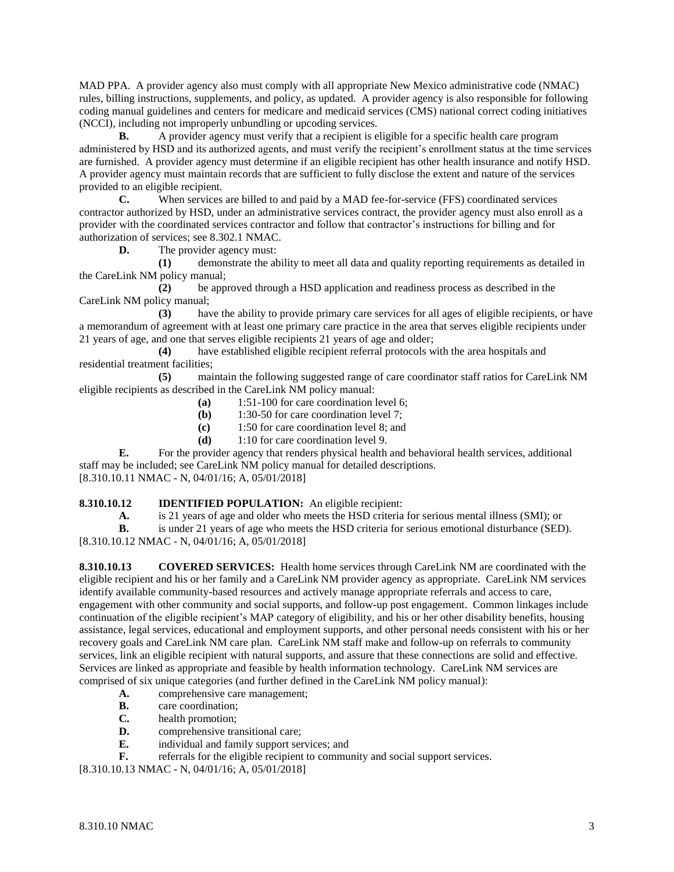MAD PPA. A provider agency also must comply with all appropriate New Mexico administrative code (NMAC) rules, billing instructions, supplements, and policy, as updated. A provider agency is also responsible for following coding manual guidelines and centers for medicare and medicaid services (CMS) national correct coding initiatives (NCCI), including not improperly unbundling or upcoding services.

**B.** A provider agency must verify that a recipient is eligible for a specific health care program administered by HSD and its authorized agents, and must verify the recipient's enrollment status at the time services are furnished. A provider agency must determine if an eligible recipient has other health insurance and notify HSD. A provider agency must maintain records that are sufficient to fully disclose the extent and nature of the services provided to an eligible recipient.

**C.** When services are billed to and paid by a MAD fee-for-service (FFS) coordinated services contractor authorized by HSD, under an administrative services contract, the provider agency must also enroll as a provider with the coordinated services contractor and follow that contractor's instructions for billing and for authorization of services; see 8.302.1 NMAC.

**D.** The provider agency must:

**(1)** demonstrate the ability to meet all data and quality reporting requirements as detailed in the CareLink NM policy manual;

**(2)** be approved through a HSD application and readiness process as described in the CareLink NM policy manual;

**(3)** have the ability to provide primary care services for all ages of eligible recipients, or have a memorandum of agreement with at least one primary care practice in the area that serves eligible recipients under 21 years of age, and one that serves eligible recipients 21 years of age and older;

**(4)** have established eligible recipient referral protocols with the area hospitals and residential treatment facilities;

**(5)** maintain the following suggested range of care coordinator staff ratios for CareLink NM eligible recipients as described in the CareLink NM policy manual:

- **(a)** 1:51-100 for care coordination level 6;
- **(b)** 1:30-50 for care coordination level 7;
- **(c)** 1:50 for care coordination level 8; and
- **(d)** 1:10 for care coordination level 9.

**E.** For the provider agency that renders physical health and behavioral health services, additional staff may be included; see CareLink NM policy manual for detailed descriptions. [8.310.10.11 NMAC - N, 04/01/16; A, 05/01/2018]

### **8.310.10.12 IDENTIFIED POPULATION:** An eligible recipient:

**A.** is 21 years of age and older who meets the HSD criteria for serious mental illness (SMI); or

**B.** is under 21 years of age who meets the HSD criteria for serious emotional disturbance (SED).

[8.310.10.12 NMAC - N, 04/01/16; A, 05/01/2018]

**8.310.10.13 COVERED SERVICES:** Health home services through CareLink NM are coordinated with the eligible recipient and his or her family and a CareLink NM provider agency as appropriate. CareLink NM services identify available community-based resources and actively manage appropriate referrals and access to care, engagement with other community and social supports, and follow-up post engagement. Common linkages include continuation of the eligible recipient's MAP category of eligibility, and his or her other disability benefits, housing assistance, legal services, educational and employment supports, and other personal needs consistent with his or her recovery goals and CareLink NM care plan. CareLink NM staff make and follow-up on referrals to community services, link an eligible recipient with natural supports, and assure that these connections are solid and effective. Services are linked as appropriate and feasible by health information technology. CareLink NM services are comprised of six unique categories (and further defined in the CareLink NM policy manual):

- **A.** comprehensive care management;
- **B.** care coordination;
- **C.** health promotion;
- **D.** comprehensive transitional care;
- **E.** individual and family support services; and
- **F.** referrals for the eligible recipient to community and social support services.

[8.310.10.13 NMAC - N, 04/01/16; A, 05/01/2018]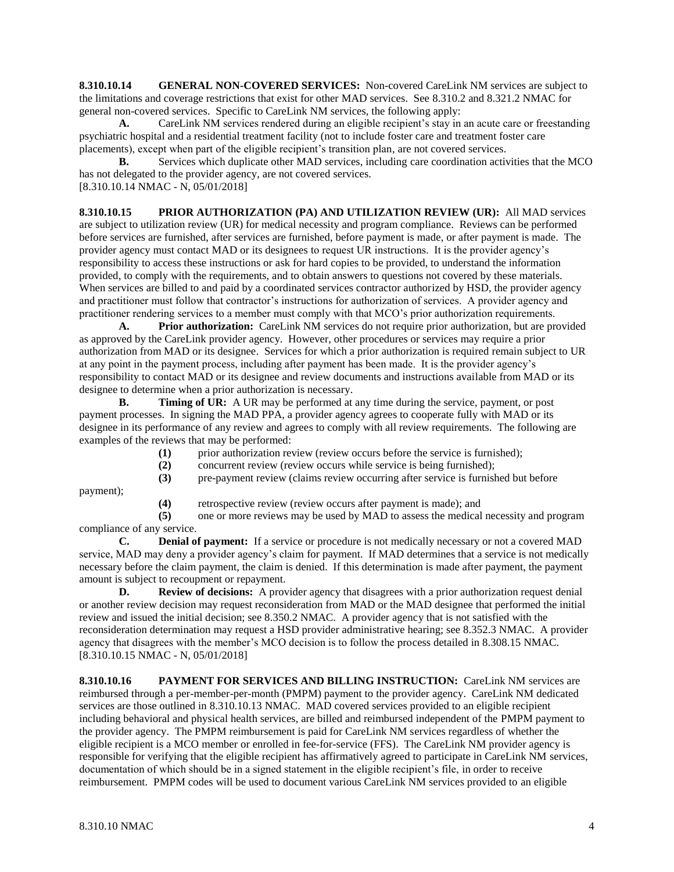**8.310.10.14 GENERAL NON-COVERED SERVICES:** Non-covered CareLink NM services are subject to the limitations and coverage restrictions that exist for other MAD services. See 8.310.2 and 8.321.2 NMAC for general non-covered services. Specific to CareLink NM services, the following apply:

**A.** CareLink NM services rendered during an eligible recipient's stay in an acute care or freestanding psychiatric hospital and a residential treatment facility (not to include foster care and treatment foster care placements), except when part of the eligible recipient's transition plan, are not covered services.

**B.** Services which duplicate other MAD services, including care coordination activities that the MCO has not delegated to the provider agency, are not covered services.

[8.310.10.14 NMAC - N, 05/01/2018]

**8.310.10.15 PRIOR AUTHORIZATION (PA) AND UTILIZATION REVIEW (UR):** All MAD services are subject to utilization review (UR) for medical necessity and program compliance. Reviews can be performed before services are furnished, after services are furnished, before payment is made, or after payment is made. The provider agency must contact MAD or its designees to request UR instructions. It is the provider agency's responsibility to access these instructions or ask for hard copies to be provided, to understand the information provided, to comply with the requirements, and to obtain answers to questions not covered by these materials. When services are billed to and paid by a coordinated services contractor authorized by HSD, the provider agency and practitioner must follow that contractor's instructions for authorization of services. A provider agency and practitioner rendering services to a member must comply with that MCO's prior authorization requirements.

**A. Prior authorization:** CareLink NM services do not require prior authorization, but are provided as approved by the CareLink provider agency. However, other procedures or services may require a prior authorization from MAD or its designee. Services for which a prior authorization is required remain subject to UR at any point in the payment process, including after payment has been made. It is the provider agency's responsibility to contact MAD or its designee and review documents and instructions available from MAD or its designee to determine when a prior authorization is necessary.

**B. Timing of UR:** A UR may be performed at any time during the service, payment, or post payment processes. In signing the MAD PPA, a provider agency agrees to cooperate fully with MAD or its designee in its performance of any review and agrees to comply with all review requirements. The following are examples of the reviews that may be performed:

- **(1)** prior authorization review (review occurs before the service is furnished);
- **(2)** concurrent review (review occurs while service is being furnished);
- **(3)** pre-payment review (claims review occurring after service is furnished but before

payment);

**(4)** retrospective review (review occurs after payment is made); and

**(5)** one or more reviews may be used by MAD to assess the medical necessity and program compliance of any service.

**C. Denial of payment:** If a service or procedure is not medically necessary or not a covered MAD service, MAD may deny a provider agency's claim for payment. If MAD determines that a service is not medically necessary before the claim payment, the claim is denied. If this determination is made after payment, the payment amount is subject to recoupment or repayment.

**D. Review of decisions:** A provider agency that disagrees with a prior authorization request denial or another review decision may request reconsideration from MAD or the MAD designee that performed the initial review and issued the initial decision; see 8.350.2 NMAC. A provider agency that is not satisfied with the reconsideration determination may request a HSD provider administrative hearing; see 8.352.3 NMAC. A provider agency that disagrees with the member's MCO decision is to follow the process detailed in 8.308.15 NMAC. [8.310.10.15 NMAC - N, 05/01/2018]

**8.310.10.16 PAYMENT FOR SERVICES AND BILLING INSTRUCTION:** CareLink NM services are reimbursed through a per-member-per-month (PMPM) payment to the provider agency. CareLink NM dedicated services are those outlined in 8.310.10.13 NMAC. MAD covered services provided to an eligible recipient including behavioral and physical health services, are billed and reimbursed independent of the PMPM payment to the provider agency. The PMPM reimbursement is paid for CareLink NM services regardless of whether the eligible recipient is a MCO member or enrolled in fee-for-service (FFS). The CareLink NM provider agency is responsible for verifying that the eligible recipient has affirmatively agreed to participate in CareLink NM services, documentation of which should be in a signed statement in the eligible recipient's file, in order to receive reimbursement. PMPM codes will be used to document various CareLink NM services provided to an eligible